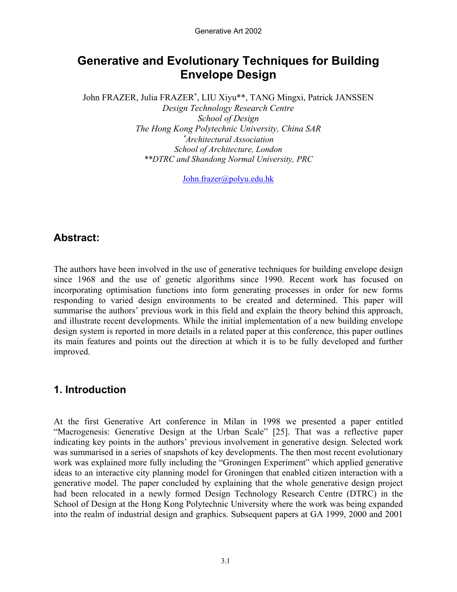# **Generative and Evolutionary Techniques for Building Envelope Design**

John FRAZER, Julia FRAZER<sup>∗</sup> , LIU Xiyu\*\*, TANG Mingxi, Patrick JANSSEN *Design Technology Research Centre School of Design The Hong Kong Polytechnic University, China SAR* <sup>∗</sup>*Architectural Association School of Architecture, London \*\*DTRC and Shandong Normal University, PRC* 

[John.frazer@polyu.edu.hk](mailto:John.frazer@polyu.edu.hk)

#### **Abstract:**

The authors have been involved in the use of generative techniques for building envelope design since 1968 and the use of genetic algorithms since 1990. Recent work has focused on incorporating optimisation functions into form generating processes in order for new forms responding to varied design environments to be created and determined. This paper will summarise the authors' previous work in this field and explain the theory behind this approach, and illustrate recent developments. While the initial implementation of a new building envelope design system is reported in more details in a related paper at this conference, this paper outlines its main features and points out the direction at which it is to be fully developed and further improved.

#### **1. Introduction**

At the first Generative Art conference in Milan in 1998 we presented a paper entitled "Macrogenesis: Generative Design at the Urban Scale" [25]. That was a reflective paper indicating key points in the authors' previous involvement in generative design. Selected work was summarised in a series of snapshots of key developments. The then most recent evolutionary work was explained more fully including the "Groningen Experiment" which applied generative ideas to an interactive city planning model for Groningen that enabled citizen interaction with a generative model. The paper concluded by explaining that the whole generative design project had been relocated in a newly formed Design Technology Research Centre (DTRC) in the School of Design at the Hong Kong Polytechnic University where the work was being expanded into the realm of industrial design and graphics. Subsequent papers at GA 1999, 2000 and 2001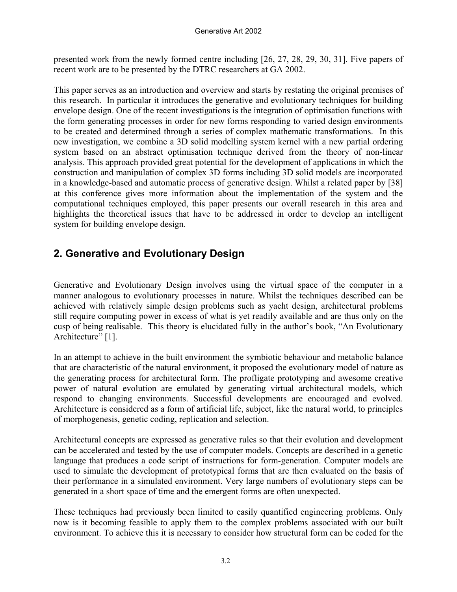presented work from the newly formed centre including [26, 27, 28, 29, 30, 31]. Five papers of recent work are to be presented by the DTRC researchers at GA 2002.

This paper serves as an introduction and overview and starts by restating the original premises of this research. In particular it introduces the generative and evolutionary techniques for building envelope design. One of the recent investigations is the integration of optimisation functions with the form generating processes in order for new forms responding to varied design environments to be created and determined through a series of complex mathematic transformations. In this new investigation, we combine a 3D solid modelling system kernel with a new partial ordering system based on an abstract optimisation technique derived from the theory of non-linear analysis. This approach provided great potential for the development of applications in which the construction and manipulation of complex 3D forms including 3D solid models are incorporated in a knowledge-based and automatic process of generative design. Whilst a related paper by [38] at this conference gives more information about the implementation of the system and the computational techniques employed, this paper presents our overall research in this area and highlights the theoretical issues that have to be addressed in order to develop an intelligent system for building envelope design.

## **2. Generative and Evolutionary Design**

Generative and Evolutionary Design involves using the virtual space of the computer in a manner analogous to evolutionary processes in nature. Whilst the techniques described can be achieved with relatively simple design problems such as yacht design, architectural problems still require computing power in excess of what is yet readily available and are thus only on the cusp of being realisable. This theory is elucidated fully in the author's book, "An Evolutionary Architecture" [1].

In an attempt to achieve in the built environment the symbiotic behaviour and metabolic balance that are characteristic of the natural environment, it proposed the evolutionary model of nature as the generating process for architectural form. The profligate prototyping and awesome creative power of natural evolution are emulated by generating virtual architectural models, which respond to changing environments. Successful developments are encouraged and evolved. Architecture is considered as a form of artificial life, subject, like the natural world, to principles of morphogenesis, genetic coding, replication and selection.

Architectural concepts are expressed as generative rules so that their evolution and development can be accelerated and tested by the use of computer models. Concepts are described in a genetic language that produces a code script of instructions for form-generation. Computer models are used to simulate the development of prototypical forms that are then evaluated on the basis of their performance in a simulated environment. Very large numbers of evolutionary steps can be generated in a short space of time and the emergent forms are often unexpected.

These techniques had previously been limited to easily quantified engineering problems. Only now is it becoming feasible to apply them to the complex problems associated with our built environment. To achieve this it is necessary to consider how structural form can be coded for the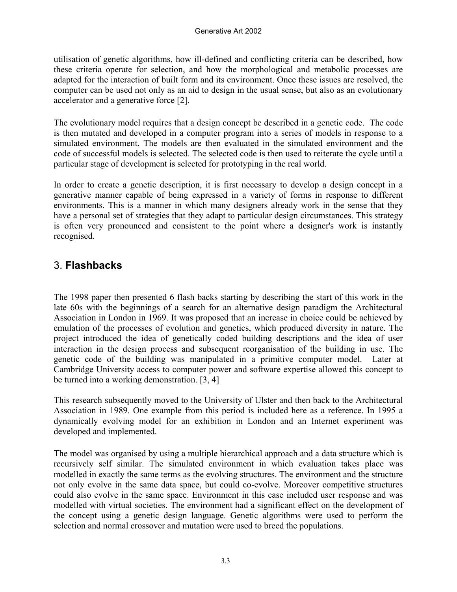utilisation of genetic algorithms, how ill-defined and conflicting criteria can be described, how these criteria operate for selection, and how the morphological and metabolic processes are adapted for the interaction of built form and its environment. Once these issues are resolved, the computer can be used not only as an aid to design in the usual sense, but also as an evolutionary accelerator and a generative force [2].

The evolutionary model requires that a design concept be described in a genetic code. The code is then mutated and developed in a computer program into a series of models in response to a simulated environment. The models are then evaluated in the simulated environment and the code of successful models is selected. The selected code is then used to reiterate the cycle until a particular stage of development is selected for prototyping in the real world.

In order to create a genetic description, it is first necessary to develop a design concept in a generative manner capable of being expressed in a variety of forms in response to different environments. This is a manner in which many designers already work in the sense that they have a personal set of strategies that they adapt to particular design circumstances. This strategy is often very pronounced and consistent to the point where a designer's work is instantly recognised.

### 3. **Flashbacks**

The 1998 paper then presented 6 flash backs starting by describing the start of this work in the late 60s with the beginnings of a search for an alternative design paradigm the Architectural Association in London in 1969. It was proposed that an increase in choice could be achieved by emulation of the processes of evolution and genetics, which produced diversity in nature. The project introduced the idea of genetically coded building descriptions and the idea of user interaction in the design process and subsequent reorganisation of the building in use. The genetic code of the building was manipulated in a primitive computer model. Later at Cambridge University access to computer power and software expertise allowed this concept to be turned into a working demonstration. [3, 4]

This research subsequently moved to the University of Ulster and then back to the Architectural Association in 1989. One example from this period is included here as a reference. In 1995 a dynamically evolving model for an exhibition in London and an Internet experiment was developed and implemented.

The model was organised by using a multiple hierarchical approach and a data structure which is recursively self similar. The simulated environment in which evaluation takes place was modelled in exactly the same terms as the evolving structures. The environment and the structure not only evolve in the same data space, but could co-evolve. Moreover competitive structures could also evolve in the same space. Environment in this case included user response and was modelled with virtual societies. The environment had a significant effect on the development of the concept using a genetic design language. Genetic algorithms were used to perform the selection and normal crossover and mutation were used to breed the populations.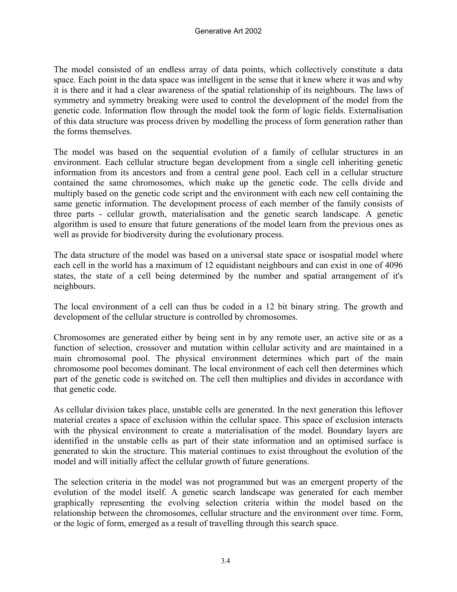The model consisted of an endless array of data points, which collectively constitute a data space. Each point in the data space was intelligent in the sense that it knew where it was and why it is there and it had a clear awareness of the spatial relationship of its neighbours. The laws of symmetry and symmetry breaking were used to control the development of the model from the genetic code. Information flow through the model took the form of logic fields. Externalisation of this data structure was process driven by modelling the process of form generation rather than the forms themselves.

The model was based on the sequential evolution of a family of cellular structures in an environment. Each cellular structure began development from a single cell inheriting genetic information from its ancestors and from a central gene pool. Each cell in a cellular structure contained the same chromosomes, which make up the genetic code. The cells divide and multiply based on the genetic code script and the environment with each new cell containing the same genetic information. The development process of each member of the family consists of three parts - cellular growth, materialisation and the genetic search landscape. A genetic algorithm is used to ensure that future generations of the model learn from the previous ones as well as provide for biodiversity during the evolutionary process.

The data structure of the model was based on a universal state space or isospatial model where each cell in the world has a maximum of 12 equidistant neighbours and can exist in one of 4096 states, the state of a cell being determined by the number and spatial arrangement of it's neighbours.

The local environment of a cell can thus be coded in a 12 bit binary string. The growth and development of the cellular structure is controlled by chromosomes.

Chromosomes are generated either by being sent in by any remote user, an active site or as a function of selection, crossover and mutation within cellular activity and are maintained in a main chromosomal pool. The physical environment determines which part of the main chromosome pool becomes dominant. The local environment of each cell then determines which part of the genetic code is switched on. The cell then multiplies and divides in accordance with that genetic code.

As cellular division takes place, unstable cells are generated. In the next generation this leftover material creates a space of exclusion within the cellular space. This space of exclusion interacts with the physical environment to create a materialisation of the model. Boundary layers are identified in the unstable cells as part of their state information and an optimised surface is generated to skin the structure. This material continues to exist throughout the evolution of the model and will initially affect the cellular growth of future generations.

The selection criteria in the model was not programmed but was an emergent property of the evolution of the model itself. A genetic search landscape was generated for each member graphically representing the evolving selection criteria within the model based on the relationship between the chromosomes, cellular structure and the environment over time. Form, or the logic of form, emerged as a result of travelling through this search space.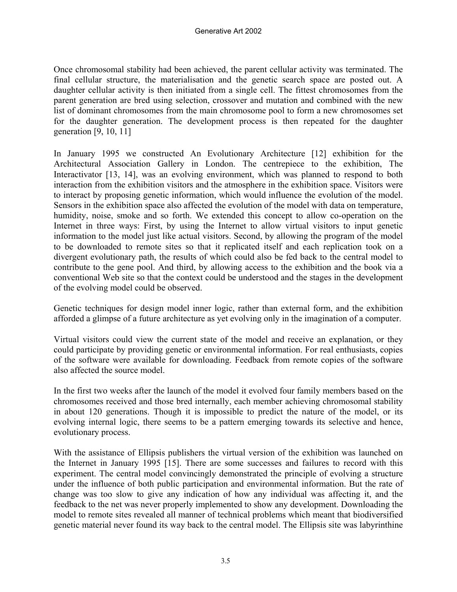Once chromosomal stability had been achieved, the parent cellular activity was terminated. The final cellular structure, the materialisation and the genetic search space are posted out. A daughter cellular activity is then initiated from a single cell. The fittest chromosomes from the parent generation are bred using selection, crossover and mutation and combined with the new list of dominant chromosomes from the main chromosome pool to form a new chromosomes set for the daughter generation. The development process is then repeated for the daughter generation [9, 10, 11]

In January 1995 we constructed An Evolutionary Architecture [12] exhibition for the Architectural Association Gallery in London. The centrepiece to the exhibition, The Interactivator [13, 14], was an evolving environment, which was planned to respond to both interaction from the exhibition visitors and the atmosphere in the exhibition space. Visitors were to interact by proposing genetic information, which would influence the evolution of the model. Sensors in the exhibition space also affected the evolution of the model with data on temperature, humidity, noise, smoke and so forth. We extended this concept to allow co-operation on the Internet in three ways: First, by using the Internet to allow virtual visitors to input genetic information to the model just like actual visitors. Second, by allowing the program of the model to be downloaded to remote sites so that it replicated itself and each replication took on a divergent evolutionary path, the results of which could also be fed back to the central model to contribute to the gene pool. And third, by allowing access to the exhibition and the book via a conventional Web site so that the context could be understood and the stages in the development of the evolving model could be observed.

Genetic techniques for design model inner logic, rather than external form, and the exhibition afforded a glimpse of a future architecture as yet evolving only in the imagination of a computer.

Virtual visitors could view the current state of the model and receive an explanation, or they could participate by providing genetic or environmental information. For real enthusiasts, copies of the software were available for downloading. Feedback from remote copies of the software also affected the source model.

In the first two weeks after the launch of the model it evolved four family members based on the chromosomes received and those bred internally, each member achieving chromosomal stability in about 120 generations. Though it is impossible to predict the nature of the model, or its evolving internal logic, there seems to be a pattern emerging towards its selective and hence, evolutionary process.

With the assistance of Ellipsis publishers the virtual version of the exhibition was launched on the Internet in January 1995 [15]. There are some successes and failures to record with this experiment. The central model convincingly demonstrated the principle of evolving a structure under the influence of both public participation and environmental information. But the rate of change was too slow to give any indication of how any individual was affecting it, and the feedback to the net was never properly implemented to show any development. Downloading the model to remote sites revealed all manner of technical problems which meant that biodiversified genetic material never found its way back to the central model. The Ellipsis site was labyrinthine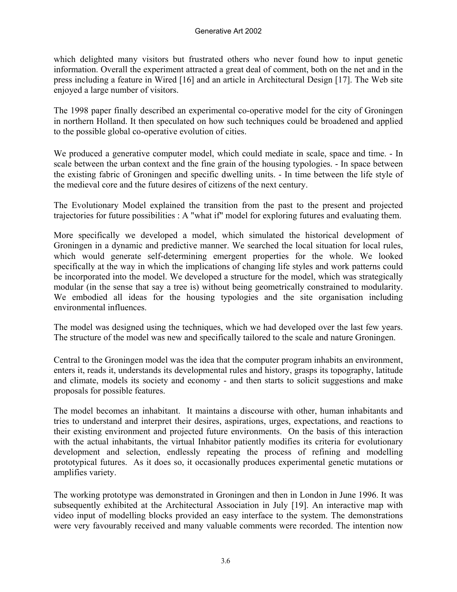which delighted many visitors but frustrated others who never found how to input genetic information. Overall the experiment attracted a great deal of comment, both on the net and in the press including a feature in Wired [16] and an article in Architectural Design [17]. The Web site enjoyed a large number of visitors.

The 1998 paper finally described an experimental co-operative model for the city of Groningen in northern Holland. It then speculated on how such techniques could be broadened and applied to the possible global co-operative evolution of cities.

We produced a generative computer model, which could mediate in scale, space and time. - In scale between the urban context and the fine grain of the housing typologies. - In space between the existing fabric of Groningen and specific dwelling units. - In time between the life style of the medieval core and the future desires of citizens of the next century.

The Evolutionary Model explained the transition from the past to the present and projected trajectories for future possibilities : A "what if" model for exploring futures and evaluating them.

More specifically we developed a model, which simulated the historical development of Groningen in a dynamic and predictive manner. We searched the local situation for local rules, which would generate self-determining emergent properties for the whole. We looked specifically at the way in which the implications of changing life styles and work patterns could be incorporated into the model. We developed a structure for the model, which was strategically modular (in the sense that say a tree is) without being geometrically constrained to modularity. We embodied all ideas for the housing typologies and the site organisation including environmental influences.

The model was designed using the techniques, which we had developed over the last few years. The structure of the model was new and specifically tailored to the scale and nature Groningen.

Central to the Groningen model was the idea that the computer program inhabits an environment, enters it, reads it, understands its developmental rules and history, grasps its topography, latitude and climate, models its society and economy - and then starts to solicit suggestions and make proposals for possible features.

The model becomes an inhabitant. It maintains a discourse with other, human inhabitants and tries to understand and interpret their desires, aspirations, urges, expectations, and reactions to their existing environment and projected future environments. On the basis of this interaction with the actual inhabitants, the virtual Inhabitor patiently modifies its criteria for evolutionary development and selection, endlessly repeating the process of refining and modelling prototypical futures. As it does so, it occasionally produces experimental genetic mutations or amplifies variety.

The working prototype was demonstrated in Groningen and then in London in June 1996. It was subsequently exhibited at the Architectural Association in July [19]. An interactive map with video input of modelling blocks provided an easy interface to the system. The demonstrations were very favourably received and many valuable comments were recorded. The intention now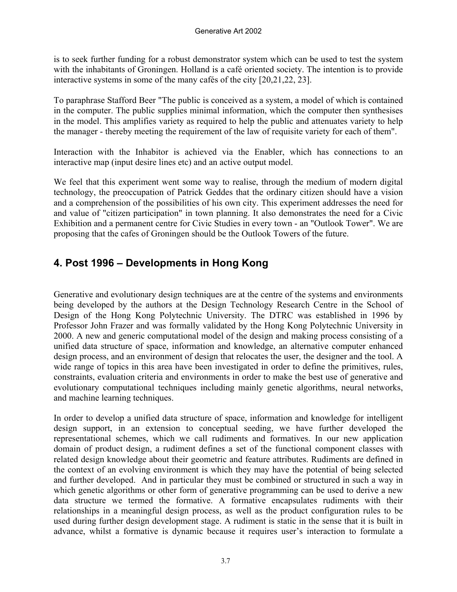is to seek further funding for a robust demonstrator system which can be used to test the system with the inhabitants of Groningen. Holland is a café oriented society. The intention is to provide interactive systems in some of the many cafés of the city [20,21,22, 23].

To paraphrase Stafford Beer "The public is conceived as a system, a model of which is contained in the computer. The public supplies minimal information, which the computer then synthesises in the model. This amplifies variety as required to help the public and attenuates variety to help the manager - thereby meeting the requirement of the law of requisite variety for each of them".

Interaction with the Inhabitor is achieved via the Enabler, which has connections to an interactive map (input desire lines etc) and an active output model.

We feel that this experiment went some way to realise, through the medium of modern digital technology, the preoccupation of Patrick Geddes that the ordinary citizen should have a vision and a comprehension of the possibilities of his own city. This experiment addresses the need for and value of "citizen participation" in town planning. It also demonstrates the need for a Civic Exhibition and a permanent centre for Civic Studies in every town - an "Outlook Tower". We are proposing that the cafes of Groningen should be the Outlook Towers of the future.

## **4. Post 1996 – Developments in Hong Kong**

Generative and evolutionary design techniques are at the centre of the systems and environments being developed by the authors at the Design Technology Research Centre in the School of Design of the Hong Kong Polytechnic University. The DTRC was established in 1996 by Professor John Frazer and was formally validated by the Hong Kong Polytechnic University in 2000. A new and generic computational model of the design and making process consisting of a unified data structure of space, information and knowledge, an alternative computer enhanced design process, and an environment of design that relocates the user, the designer and the tool. A wide range of topics in this area have been investigated in order to define the primitives, rules, constraints, evaluation criteria and environments in order to make the best use of generative and evolutionary computational techniques including mainly genetic algorithms, neural networks, and machine learning techniques.

In order to develop a unified data structure of space, information and knowledge for intelligent design support, in an extension to conceptual seeding, we have further developed the representational schemes, which we call rudiments and formatives. In our new application domain of product design, a rudiment defines a set of the functional component classes with related design knowledge about their geometric and feature attributes. Rudiments are defined in the context of an evolving environment is which they may have the potential of being selected and further developed. And in particular they must be combined or structured in such a way in which genetic algorithms or other form of generative programming can be used to derive a new data structure we termed the formative. A formative encapsulates rudiments with their relationships in a meaningful design process, as well as the product configuration rules to be used during further design development stage. A rudiment is static in the sense that it is built in advance, whilst a formative is dynamic because it requires user's interaction to formulate a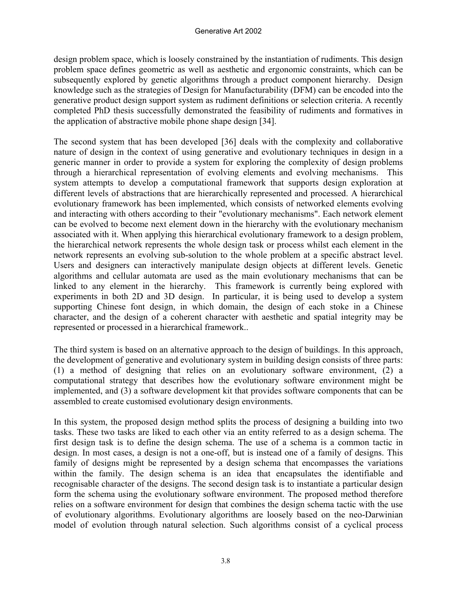design problem space, which is loosely constrained by the instantiation of rudiments. This design problem space defines geometric as well as aesthetic and ergonomic constraints, which can be subsequently explored by genetic algorithms through a product component hierarchy. Design knowledge such as the strategies of Design for Manufacturability (DFM) can be encoded into the generative product design support system as rudiment definitions or selection criteria. A recently completed PhD thesis successfully demonstrated the feasibility of rudiments and formatives in the application of abstractive mobile phone shape design [34].

The second system that has been developed [36] deals with the complexity and collaborative nature of design in the context of using generative and evolutionary techniques in design in a generic manner in order to provide a system for exploring the complexity of design problems through a hierarchical representation of evolving elements and evolving mechanisms. This system attempts to develop a computational framework that supports design exploration at different levels of abstractions that are hierarchically represented and processed. A hierarchical evolutionary framework has been implemented, which consists of networked elements evolving and interacting with others according to their "evolutionary mechanisms". Each network element can be evolved to become next element down in the hierarchy with the evolutionary mechanism associated with it. When applying this hierarchical evolutionary framework to a design problem, the hierarchical network represents the whole design task or process whilst each element in the network represents an evolving sub-solution to the whole problem at a specific abstract level. Users and designers can interactively manipulate design objects at different levels. Genetic algorithms and cellular automata are used as the main evolutionary mechanisms that can be linked to any element in the hierarchy. This framework is currently being explored with experiments in both 2D and 3D design. In particular, it is being used to develop a system supporting Chinese font design, in which domain, the design of each stoke in a Chinese character, and the design of a coherent character with aesthetic and spatial integrity may be represented or processed in a hierarchical framework..

The third system is based on an alternative approach to the design of buildings. In this approach, the development of generative and evolutionary system in building design consists of three parts: (1) a method of designing that relies on an evolutionary software environment, (2) a computational strategy that describes how the evolutionary software environment might be implemented, and (3) a software development kit that provides software components that can be assembled to create customised evolutionary design environments.

In this system, the proposed design method splits the process of designing a building into two tasks. These two tasks are liked to each other via an entity referred to as a design schema. The first design task is to define the design schema. The use of a schema is a common tactic in design. In most cases, a design is not a one-off, but is instead one of a family of designs. This family of designs might be represented by a design schema that encompasses the variations within the family. The design schema is an idea that encapsulates the identifiable and recognisable character of the designs. The second design task is to instantiate a particular design form the schema using the evolutionary software environment. The proposed method therefore relies on a software environment for design that combines the design schema tactic with the use of evolutionary algorithms. Evolutionary algorithms are loosely based on the neo-Darwinian model of evolution through natural selection. Such algorithms consist of a cyclical process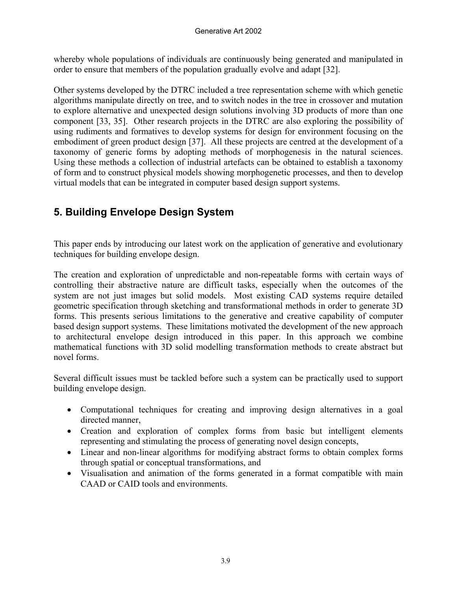whereby whole populations of individuals are continuously being generated and manipulated in order to ensure that members of the population gradually evolve and adapt [32].

Other systems developed by the DTRC included a tree representation scheme with which genetic algorithms manipulate directly on tree, and to switch nodes in the tree in crossover and mutation to explore alternative and unexpected design solutions involving 3D products of more than one component [33, 35]. Other research projects in the DTRC are also exploring the possibility of using rudiments and formatives to develop systems for design for environment focusing on the embodiment of green product design [37]. All these projects are centred at the development of a taxonomy of generic forms by adopting methods of morphogenesis in the natural sciences. Using these methods a collection of industrial artefacts can be obtained to establish a taxonomy of form and to construct physical models showing morphogenetic processes, and then to develop virtual models that can be integrated in computer based design support systems.

## **5. Building Envelope Design System**

This paper ends by introducing our latest work on the application of generative and evolutionary techniques for building envelope design.

The creation and exploration of unpredictable and non-repeatable forms with certain ways of controlling their abstractive nature are difficult tasks, especially when the outcomes of the system are not just images but solid models. Most existing CAD systems require detailed geometric specification through sketching and transformational methods in order to generate 3D forms. This presents serious limitations to the generative and creative capability of computer based design support systems. These limitations motivated the development of the new approach to architectural envelope design introduced in this paper. In this approach we combine mathematical functions with 3D solid modelling transformation methods to create abstract but novel forms.

Several difficult issues must be tackled before such a system can be practically used to support building envelope design.

- Computational techniques for creating and improving design alternatives in a goal directed manner,
- Creation and exploration of complex forms from basic but intelligent elements representing and stimulating the process of generating novel design concepts,
- Linear and non-linear algorithms for modifying abstract forms to obtain complex forms through spatial or conceptual transformations, and
- Visualisation and animation of the forms generated in a format compatible with main CAAD or CAID tools and environments.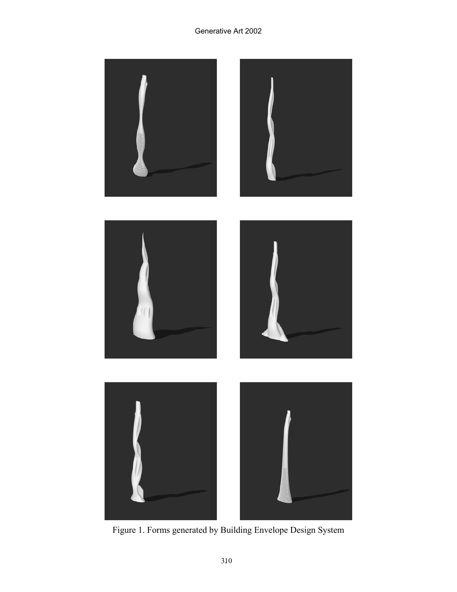#### Generative Art 2002



Figure 1. Forms generated by Building Envelope Design System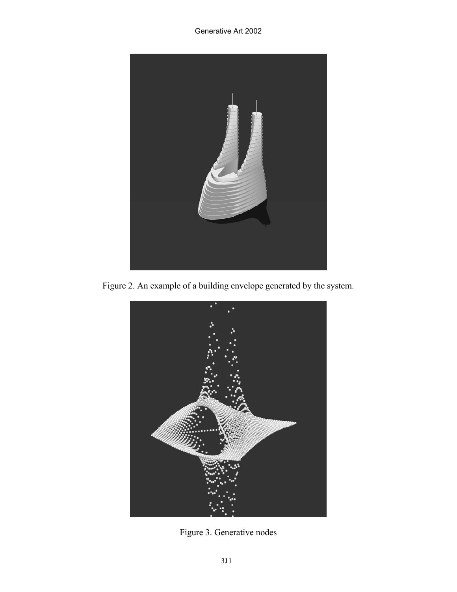

Figure 2. An example of a building envelope generated by the system.



Figure 3. Generative nodes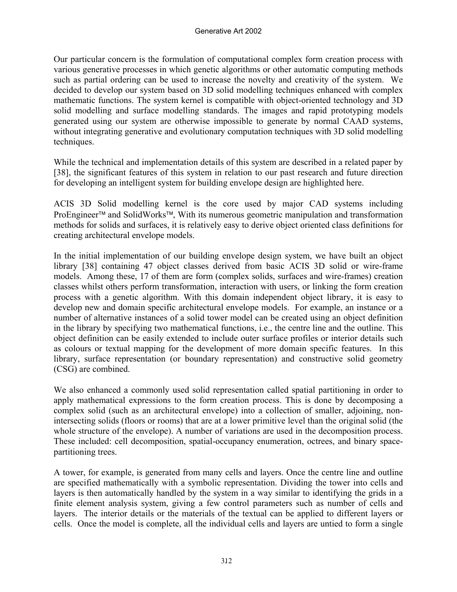Our particular concern is the formulation of computational complex form creation process with various generative processes in which genetic algorithms or other automatic computing methods such as partial ordering can be used to increase the novelty and creativity of the system. We decided to develop our system based on 3D solid modelling techniques enhanced with complex mathematic functions. The system kernel is compatible with object-oriented technology and 3D solid modelling and surface modelling standards. The images and rapid prototyping models generated using our system are otherwise impossible to generate by normal CAAD systems, without integrating generative and evolutionary computation techniques with 3D solid modelling techniques.

While the technical and implementation details of this system are described in a related paper by [38], the significant features of this system in relation to our past research and future direction for developing an intelligent system for building envelope design are highlighted here.

ACIS 3D Solid modelling kernel is the core used by major CAD systems including  $ProEneiner^{\pi}$  and SolidWorks<sup> $\pi$ </sup>. With its numerous geometric manipulation and transformation methods for solids and surfaces, it is relatively easy to derive object oriented class definitions for creating architectural envelope models.

In the initial implementation of our building envelope design system, we have built an object library [38] containing 47 object classes derived from basic ACIS 3D solid or wire-frame models. Among these, 17 of them are form (complex solids, surfaces and wire-frames) creation classes whilst others perform transformation, interaction with users, or linking the form creation process with a genetic algorithm. With this domain independent object library, it is easy to develop new and domain specific architectural envelope models. For example, an instance or a number of alternative instances of a solid tower model can be created using an object definition in the library by specifying two mathematical functions, i.e., the centre line and the outline. This object definition can be easily extended to include outer surface profiles or interior details such as colours or textual mapping for the development of more domain specific features. In this library, surface representation (or boundary representation) and constructive solid geometry (CSG) are combined.

We also enhanced a commonly used solid representation called spatial partitioning in order to apply mathematical expressions to the form creation process. This is done by decomposing a complex solid (such as an architectural envelope) into a collection of smaller, adjoining, nonintersecting solids (floors or rooms) that are at a lower primitive level than the original solid (the whole structure of the envelope). A number of variations are used in the decomposition process. These included: cell decomposition, spatial-occupancy enumeration, octrees, and binary spacepartitioning trees.

A tower, for example, is generated from many cells and layers. Once the centre line and outline are specified mathematically with a symbolic representation. Dividing the tower into cells and layers is then automatically handled by the system in a way similar to identifying the grids in a finite element analysis system, giving a few control parameters such as number of cells and layers. The interior details or the materials of the textual can be applied to different layers or cells. Once the model is complete, all the individual cells and layers are untied to form a single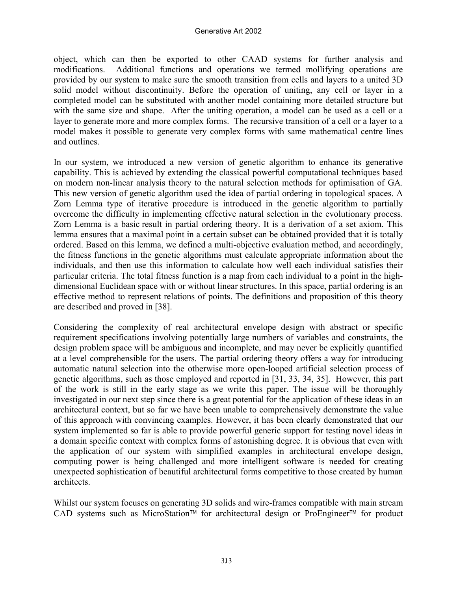object, which can then be exported to other CAAD systems for further analysis and modifications. Additional functions and operations we termed mollifying operations are provided by our system to make sure the smooth transition from cells and layers to a united 3D solid model without discontinuity. Before the operation of uniting, any cell or layer in a completed model can be substituted with another model containing more detailed structure but with the same size and shape. After the uniting operation, a model can be used as a cell or a layer to generate more and more complex forms. The recursive transition of a cell or a layer to a model makes it possible to generate very complex forms with same mathematical centre lines and outlines.

In our system, we introduced a new version of genetic algorithm to enhance its generative capability. This is achieved by extending the classical powerful computational techniques based on modern non-linear analysis theory to the natural selection methods for optimisation of GA. This new version of genetic algorithm used the idea of partial ordering in topological spaces. A Zorn Lemma type of iterative procedure is introduced in the genetic algorithm to partially overcome the difficulty in implementing effective natural selection in the evolutionary process. Zorn Lemma is a basic result in partial ordering theory. It is a derivation of a set axiom. This lemma ensures that a maximal point in a certain subset can be obtained provided that it is totally ordered. Based on this lemma, we defined a multi-objective evaluation method, and accordingly, the fitness functions in the genetic algorithms must calculate appropriate information about the individuals, and then use this information to calculate how well each individual satisfies their particular criteria. The total fitness function is a map from each individual to a point in the highdimensional Euclidean space with or without linear structures. In this space, partial ordering is an effective method to represent relations of points. The definitions and proposition of this theory are described and proved in [38].

Considering the complexity of real architectural envelope design with abstract or specific requirement specifications involving potentially large numbers of variables and constraints, the design problem space will be ambiguous and incomplete, and may never be explicitly quantified at a level comprehensible for the users. The partial ordering theory offers a way for introducing automatic natural selection into the otherwise more open-looped artificial selection process of genetic algorithms, such as those employed and reported in [31, 33, 34, 35]. However, this part of the work is still in the early stage as we write this paper. The issue will be thoroughly investigated in our next step since there is a great potential for the application of these ideas in an architectural context, but so far we have been unable to comprehensively demonstrate the value of this approach with convincing examples. However, it has been clearly demonstrated that our system implemented so far is able to provide powerful generic support for testing novel ideas in a domain specific context with complex forms of astonishing degree. It is obvious that even with the application of our system with simplified examples in architectural envelope design, computing power is being challenged and more intelligent software is needed for creating unexpected sophistication of beautiful architectural forms competitive to those created by human architects.

Whilst our system focuses on generating 3D solids and wire-frames compatible with main stream CAD systems such as MicroStation<sup>™</sup> for architectural design or ProEngineer<sup>™</sup> for product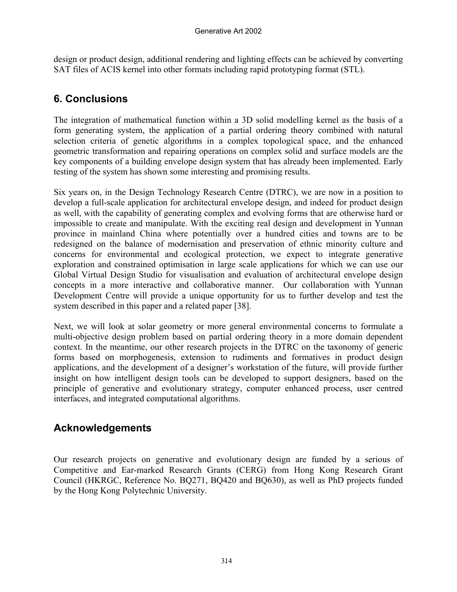design or product design, additional rendering and lighting effects can be achieved by converting SAT files of ACIS kernel into other formats including rapid prototyping format (STL).

## **6. Conclusions**

The integration of mathematical function within a 3D solid modelling kernel as the basis of a form generating system, the application of a partial ordering theory combined with natural selection criteria of genetic algorithms in a complex topological space, and the enhanced geometric transformation and repairing operations on complex solid and surface models are the key components of a building envelope design system that has already been implemented. Early testing of the system has shown some interesting and promising results.

Six years on, in the Design Technology Research Centre (DTRC), we are now in a position to develop a full-scale application for architectural envelope design, and indeed for product design as well, with the capability of generating complex and evolving forms that are otherwise hard or impossible to create and manipulate. With the exciting real design and development in Yunnan province in mainland China where potentially over a hundred cities and towns are to be redesigned on the balance of modernisation and preservation of ethnic minority culture and concerns for environmental and ecological protection, we expect to integrate generative exploration and constrained optimisation in large scale applications for which we can use our Global Virtual Design Studio for visualisation and evaluation of architectural envelope design concepts in a more interactive and collaborative manner. Our collaboration with Yunnan Development Centre will provide a unique opportunity for us to further develop and test the system described in this paper and a related paper [38].

Next, we will look at solar geometry or more general environmental concerns to formulate a multi-objective design problem based on partial ordering theory in a more domain dependent context. In the meantime, our other research projects in the DTRC on the taxonomy of generic forms based on morphogenesis, extension to rudiments and formatives in product design applications, and the development of a designer's workstation of the future, will provide further insight on how intelligent design tools can be developed to support designers, based on the principle of generative and evolutionary strategy, computer enhanced process, user centred interfaces, and integrated computational algorithms.

### **Acknowledgements**

Our research projects on generative and evolutionary design are funded by a serious of Competitive and Ear-marked Research Grants (CERG) from Hong Kong Research Grant Council (HKRGC, Reference No. BQ271, BQ420 and BQ630), as well as PhD projects funded by the Hong Kong Polytechnic University.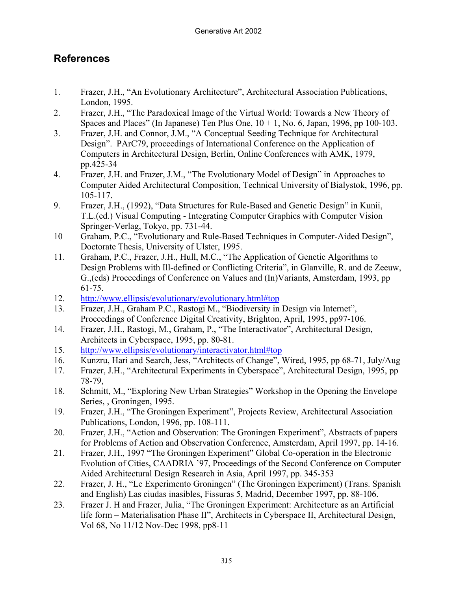#### **References**

- 1. Frazer, J.H., "An Evolutionary Architecture", Architectural Association Publications, London, 1995.
- 2. Frazer, J.H., "The Paradoxical Image of the Virtual World: Towards a New Theory of Spaces and Places" (In Japanese) Ten Plus One,  $10 + 1$ , No. 6, Japan, 1996, pp 100-103.
- 3. Frazer, J.H. and Connor, J.M., "A Conceptual Seeding Technique for Architectural Design". PArC79, proceedings of International Conference on the Application of Computers in Architectural Design, Berlin, Online Conferences with AMK, 1979, pp.425-34
- 4. Frazer, J.H. and Frazer, J.M., "The Evolutionary Model of Design" in Approaches to Computer Aided Architectural Composition, Technical University of Bialystok, 1996, pp. 105-117.
- 9. Frazer, J.H., (1992), "Data Structures for Rule-Based and Genetic Design" in Kunii, T.L.(ed.) Visual Computing - Integrating Computer Graphics with Computer Vision Springer-Verlag, Tokyo, pp. 731-44.
- 10 Graham, P.C., "Evolutionary and Rule-Based Techniques in Computer-Aided Design", Doctorate Thesis, University of Ulster, 1995.
- 11. Graham, P.C., Frazer, J.H., Hull, M.C., "The Application of Genetic Algorithms to Design Problems with Ill-defined or Conflicting Criteria", in Glanville, R. and de Zeeuw, G.,(eds) Proceedings of Conference on Values and (In)Variants, Amsterdam, 1993, pp 61-75.
- 12. [http://www.ellipsis/evolutionary/evolutionary.html#top](http://www.ellipsis/evolutionary/evolutionary.html)
- 13. Frazer, J.H., Graham P.C., Rastogi M., "Biodiversity in Design via Internet", Proceedings of Conference Digital Creativity, Brighton, April, 1995, pp97-106.
- 14. Frazer, J.H., Rastogi, M., Graham, P., "The Interactivator", Architectural Design, Architects in Cyberspace, 1995, pp. 80-81.
- 15. [http://www.ellipsis/evolutionary/interactivator.html#top](http://www.ellipsis/evolutionary/intenactivator.html)
- 16. Kunzru, Hari and Search, Jess, "Architects of Change", Wired, 1995, pp 68-71, July/Aug
- 17. Frazer, J.H., "Architectural Experiments in Cyberspace", Architectural Design, 1995, pp 78-79,
- 18. Schmitt, M., "Exploring New Urban Strategies" Workshop in the Opening the Envelope Series, , Groningen, 1995.
- 19. Frazer, J.H., "The Groningen Experiment", Projects Review, Architectural Association Publications, London, 1996, pp. 108-111.
- 20. Frazer, J.H., "Action and Observation: The Groningen Experiment", Abstracts of papers for Problems of Action and Observation Conference, Amsterdam, April 1997, pp. 14-16.
- 21. Frazer, J.H., 1997 "The Groningen Experiment" Global Co-operation in the Electronic Evolution of Cities, CAADRIA '97, Proceedings of the Second Conference on Computer Aided Architectural Design Research in Asia, April 1997, pp. 345-353
- 22. Frazer, J. H., "Le Experimento Groningen" (The Groningen Experiment) (Trans. Spanish and English) Las ciudas inasibles, Fissuras 5, Madrid, December 1997, pp. 88-106.
- 23. Frazer J. H and Frazer, Julia, "The Groningen Experiment: Architecture as an Artificial life form – Materialisation Phase II", Architects in Cyberspace II, Architectural Design, Vol 68, No 11/12 Nov-Dec 1998, pp8-11